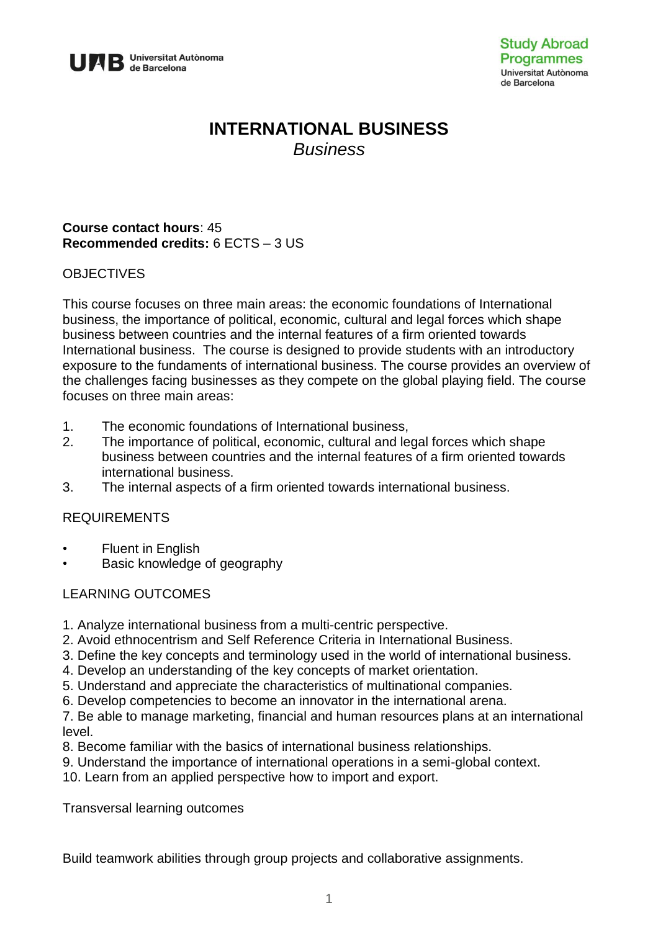

# **INTERNATIONAL BUSINESS** *Business*

# **Course contact hours**: 45 **Recommended credits:** 6 ECTS – 3 US

# **OBJECTIVES**

This course focuses on three main areas: the economic foundations of International business, the importance of political, economic, cultural and legal forces which shape business between countries and the internal features of a firm oriented towards International business. The course is designed to provide students with an introductory exposure to the fundaments of international business. The course provides an overview of the challenges facing businesses as they compete on the global playing field. The course focuses on three main areas:

- 1. The economic foundations of International business,
- 2. The importance of political, economic, cultural and legal forces which shape business between countries and the internal features of a firm oriented towards international business.
- 3. The internal aspects of a firm oriented towards international business.

# REQUIREMENTS

- Fluent in English
- Basic knowledge of geography

# LEARNING OUTCOMES

- 1. Analyze international business from a multi-centric perspective.
- 2. Avoid ethnocentrism and Self Reference Criteria in International Business.
- 3. Define the key concepts and terminology used in the world of international business.
- 4. Develop an understanding of the key concepts of market orientation.
- 5. Understand and appreciate the characteristics of multinational companies.
- 6. Develop competencies to become an innovator in the international arena.
- 7. Be able to manage marketing, financial and human resources plans at an international level.
- 8. Become familiar with the basics of international business relationships.
- 9. Understand the importance of international operations in a semi-global context.
- 10. Learn from an applied perspective how to import and export.

Transversal learning outcomes

Build teamwork abilities through group projects and collaborative assignments.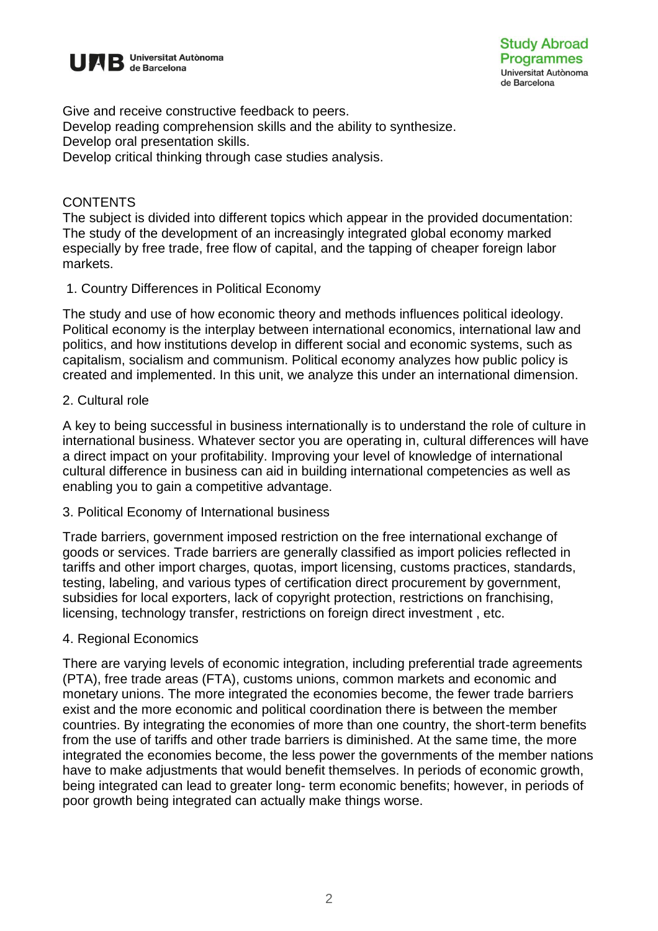

Give and receive constructive feedback to peers. Develop reading comprehension skills and the ability to synthesize. Develop oral presentation skills. Develop critical thinking through case studies analysis.

#### **CONTENTS**

The subject is divided into different topics which appear in the provided documentation: The study of the development of an increasingly integrated global economy marked especially by free trade, free flow of capital, and the tapping of cheaper foreign labor markets.

#### 1. Country Differences in Political Economy

The study and use of how economic theory and methods influences political ideology. Political economy is the interplay between international economics, international law and politics, and how institutions develop in different social and economic systems, such as capitalism, socialism and communism. Political economy analyzes how public policy is created and implemented. In this unit, we analyze this under an international dimension.

#### 2. Cultural role

A key to being successful in business internationally is to understand the role of culture in international business. Whatever sector you are operating in, cultural differences will have a direct impact on your profitability. Improving your level of knowledge of international cultural difference in business can aid in building international competencies as well as enabling you to gain a competitive advantage.

#### 3. Political Economy of International business

Trade barriers, government imposed restriction on the free international exchange of goods or services. Trade barriers are generally classified as import policies reflected in tariffs and other import charges, quotas, import licensing, customs practices, standards, testing, labeling, and various types of certification direct procurement by government, subsidies for local exporters, lack of copyright protection, restrictions on franchising, licensing, technology transfer, restrictions on foreign direct investment , etc.

# 4. Regional Economics

There are varying levels of economic integration, including preferential trade agreements (PTA), free trade areas (FTA), customs unions, common markets and economic and monetary unions. The more integrated the economies become, the fewer trade barriers exist and the more economic and political coordination there is between the member countries. By integrating the economies of more than one country, the short-term benefits from the use of tariffs and other trade barriers is diminished. At the same time, the more integrated the economies become, the less power the governments of the member nations have to make adjustments that would benefit themselves. In periods of economic growth, being integrated can lead to greater long- term economic benefits; however, in periods of poor growth being integrated can actually make things worse.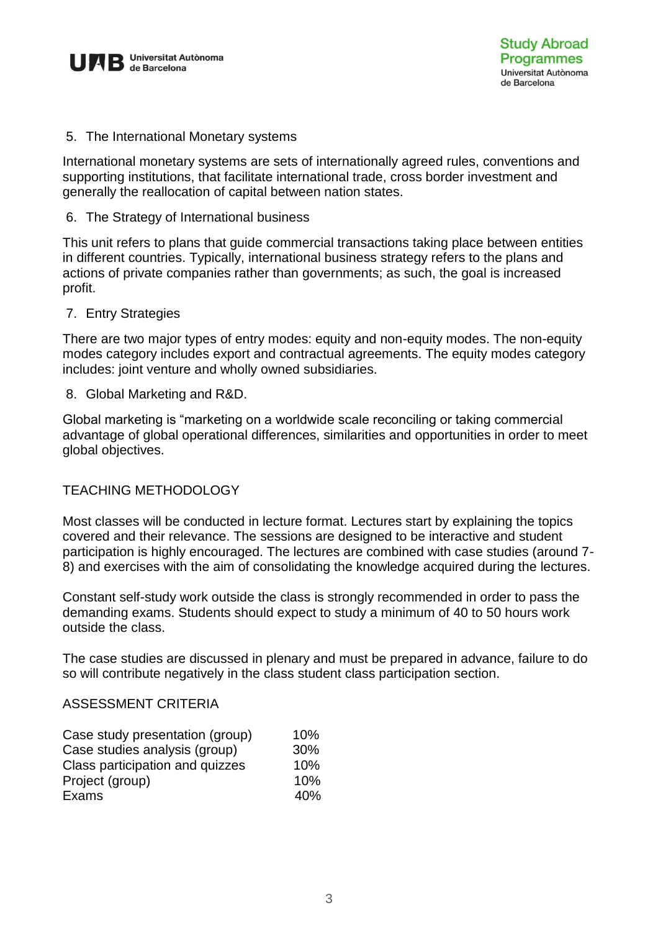

5. The International Monetary systems

International monetary systems are sets of internationally agreed rules, conventions and supporting institutions, that facilitate international trade, cross border investment and generally the reallocation of capital between nation states.

6. The Strategy of International business

This unit refers to plans that guide commercial transactions taking place between entities in different countries. Typically, international business strategy refers to the plans and actions of private companies rather than governments; as such, the goal is increased profit.

7. Entry Strategies

There are two major types of entry modes: equity and non-equity modes. The non-equity modes category includes export and contractual agreements. The equity modes category includes: joint venture and wholly owned subsidiaries.

8. Global Marketing and R&D.

Global marketing is "marketing on a worldwide scale reconciling or taking commercial advantage of global operational differences, similarities and opportunities in order to meet global objectives.

# TEACHING METHODOLOGY

Most classes will be conducted in lecture format. Lectures start by explaining the topics covered and their relevance. The sessions are designed to be interactive and student participation is highly encouraged. The lectures are combined with case studies (around 7- 8) and exercises with the aim of consolidating the knowledge acquired during the lectures.

Constant self-study work outside the class is strongly recommended in order to pass the demanding exams. Students should expect to study a minimum of 40 to 50 hours work outside the class.

The case studies are discussed in plenary and must be prepared in advance, failure to do so will contribute negatively in the class student class participation section.

# ASSESSMENT CRITERIA

| Case study presentation (group) | 10% |
|---------------------------------|-----|
| Case studies analysis (group)   | 30% |
| Class participation and quizzes | 10% |
| Project (group)                 | 10% |
| Exams                           | 40% |